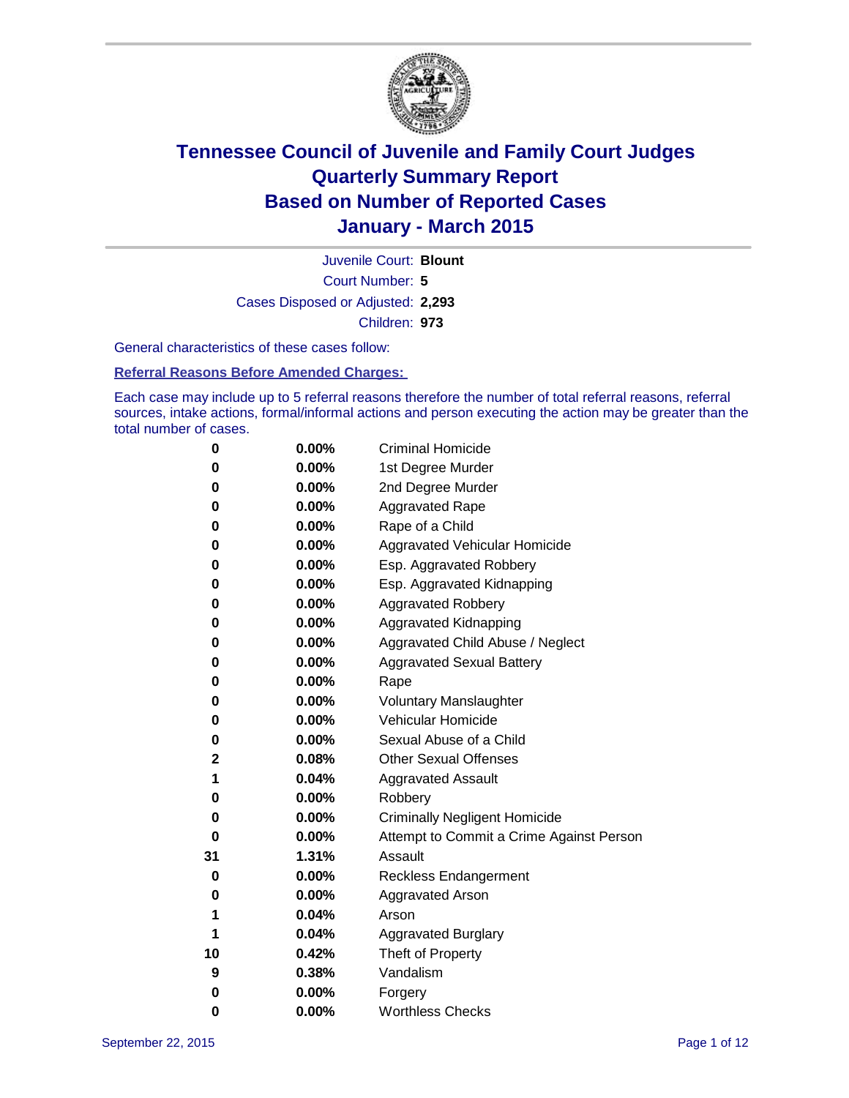

Court Number: **5** Juvenile Court: **Blount** Cases Disposed or Adjusted: **2,293** Children: **973**

General characteristics of these cases follow:

#### **Referral Reasons Before Amended Charges:**

Each case may include up to 5 referral reasons therefore the number of total referral reasons, referral sources, intake actions, formal/informal actions and person executing the action may be greater than the total number of cases.

| 0  | 0.00%    | <b>Criminal Homicide</b>                 |
|----|----------|------------------------------------------|
| 0  | 0.00%    | 1st Degree Murder                        |
| 0  | 0.00%    | 2nd Degree Murder                        |
| 0  | $0.00\%$ | <b>Aggravated Rape</b>                   |
| 0  | 0.00%    | Rape of a Child                          |
| 0  | 0.00%    | Aggravated Vehicular Homicide            |
| 0  | 0.00%    | Esp. Aggravated Robbery                  |
| 0  | 0.00%    | Esp. Aggravated Kidnapping               |
| 0  | 0.00%    | <b>Aggravated Robbery</b>                |
| 0  | 0.00%    | <b>Aggravated Kidnapping</b>             |
| 0  | 0.00%    | Aggravated Child Abuse / Neglect         |
| 0  | 0.00%    | <b>Aggravated Sexual Battery</b>         |
| 0  | 0.00%    | Rape                                     |
| 0  | $0.00\%$ | <b>Voluntary Manslaughter</b>            |
| 0  | 0.00%    | <b>Vehicular Homicide</b>                |
| 0  | 0.00%    | Sexual Abuse of a Child                  |
| 2  | 0.08%    | <b>Other Sexual Offenses</b>             |
| 1  | 0.04%    | <b>Aggravated Assault</b>                |
| 0  | 0.00%    | Robbery                                  |
| 0  | 0.00%    | <b>Criminally Negligent Homicide</b>     |
| 0  | 0.00%    | Attempt to Commit a Crime Against Person |
| 31 | 1.31%    | Assault                                  |
| 0  | 0.00%    | <b>Reckless Endangerment</b>             |
| 0  | $0.00\%$ | <b>Aggravated Arson</b>                  |
| 1  | 0.04%    | Arson                                    |
| 1  | 0.04%    | <b>Aggravated Burglary</b>               |
| 10 | 0.42%    | Theft of Property                        |
| 9  | 0.38%    | Vandalism                                |
| 0  | 0.00%    | Forgery                                  |
| 0  | 0.00%    | <b>Worthless Checks</b>                  |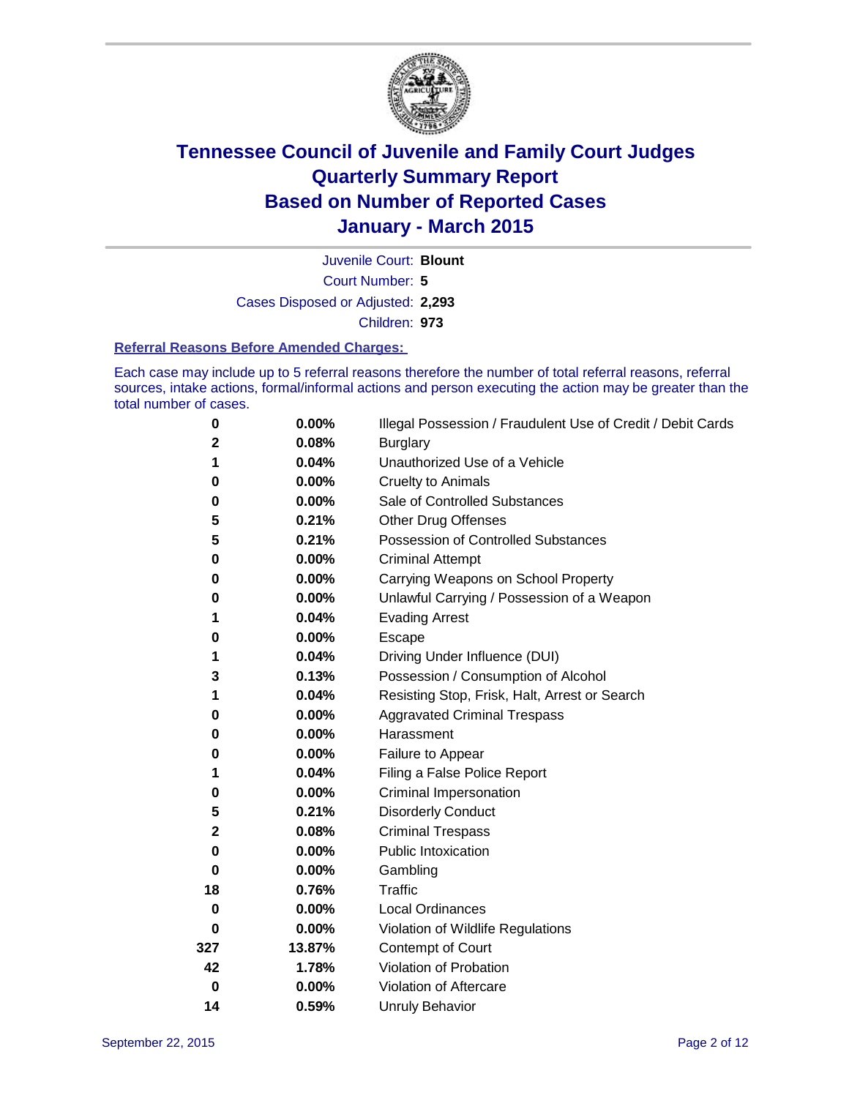

Court Number: **5** Juvenile Court: **Blount** Cases Disposed or Adjusted: **2,293** Children: **973**

#### **Referral Reasons Before Amended Charges:**

Each case may include up to 5 referral reasons therefore the number of total referral reasons, referral sources, intake actions, formal/informal actions and person executing the action may be greater than the total number of cases.

| 0           | 0.00%    | Illegal Possession / Fraudulent Use of Credit / Debit Cards |
|-------------|----------|-------------------------------------------------------------|
| $\mathbf 2$ | 0.08%    | <b>Burglary</b>                                             |
| 1           | 0.04%    | Unauthorized Use of a Vehicle                               |
| 0           | 0.00%    | <b>Cruelty to Animals</b>                                   |
| 0           | 0.00%    | Sale of Controlled Substances                               |
| 5           | 0.21%    | <b>Other Drug Offenses</b>                                  |
| 5           | 0.21%    | Possession of Controlled Substances                         |
| 0           | 0.00%    | <b>Criminal Attempt</b>                                     |
| 0           | 0.00%    | Carrying Weapons on School Property                         |
| 0           | 0.00%    | Unlawful Carrying / Possession of a Weapon                  |
| 1           | 0.04%    | <b>Evading Arrest</b>                                       |
| 0           | 0.00%    | Escape                                                      |
| 1           | 0.04%    | Driving Under Influence (DUI)                               |
| 3           | 0.13%    | Possession / Consumption of Alcohol                         |
| 1           | 0.04%    | Resisting Stop, Frisk, Halt, Arrest or Search               |
| 0           | 0.00%    | <b>Aggravated Criminal Trespass</b>                         |
| 0           | 0.00%    | Harassment                                                  |
| 0           | 0.00%    | Failure to Appear                                           |
| 1           | 0.04%    | Filing a False Police Report                                |
| 0           | 0.00%    | Criminal Impersonation                                      |
| 5           | 0.21%    | <b>Disorderly Conduct</b>                                   |
| $\mathbf 2$ | 0.08%    | <b>Criminal Trespass</b>                                    |
| 0           | $0.00\%$ | <b>Public Intoxication</b>                                  |
| 0           | 0.00%    | Gambling                                                    |
| 18          | 0.76%    | Traffic                                                     |
| 0           | 0.00%    | <b>Local Ordinances</b>                                     |
| 0           | $0.00\%$ | Violation of Wildlife Regulations                           |
| 327         | 13.87%   | Contempt of Court                                           |
| 42          | 1.78%    | Violation of Probation                                      |
| $\mathbf 0$ | 0.00%    | Violation of Aftercare                                      |
| 14          | 0.59%    | <b>Unruly Behavior</b>                                      |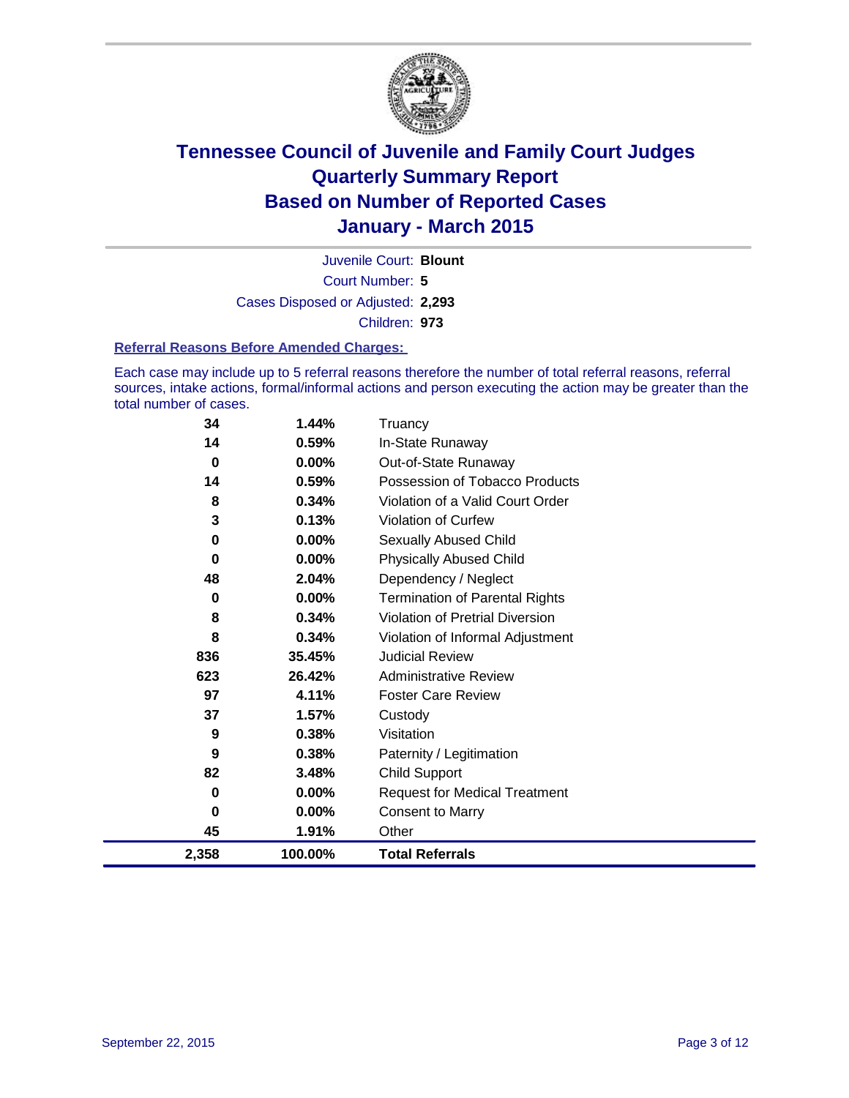

Court Number: **5** Juvenile Court: **Blount** Cases Disposed or Adjusted: **2,293** Children: **973**

#### **Referral Reasons Before Amended Charges:**

Each case may include up to 5 referral reasons therefore the number of total referral reasons, referral sources, intake actions, formal/informal actions and person executing the action may be greater than the total number of cases.

| 34    | 1.44%    | Truancy                                |
|-------|----------|----------------------------------------|
| 14    | 0.59%    | In-State Runaway                       |
| 0     | 0.00%    | Out-of-State Runaway                   |
| 14    | 0.59%    | Possession of Tobacco Products         |
| 8     | 0.34%    | Violation of a Valid Court Order       |
| 3     | 0.13%    | Violation of Curfew                    |
| 0     | $0.00\%$ | Sexually Abused Child                  |
| 0     | $0.00\%$ | <b>Physically Abused Child</b>         |
| 48    | 2.04%    | Dependency / Neglect                   |
| 0     | 0.00%    | <b>Termination of Parental Rights</b>  |
| 8     | 0.34%    | <b>Violation of Pretrial Diversion</b> |
| 8     | 0.34%    | Violation of Informal Adjustment       |
| 836   | 35.45%   | <b>Judicial Review</b>                 |
| 623   | 26.42%   | <b>Administrative Review</b>           |
| 97    | 4.11%    | <b>Foster Care Review</b>              |
| 37    | 1.57%    | Custody                                |
| 9     | 0.38%    | Visitation                             |
| 9     | 0.38%    | Paternity / Legitimation               |
| 82    | 3.48%    | <b>Child Support</b>                   |
| 0     | $0.00\%$ | <b>Request for Medical Treatment</b>   |
| 0     | $0.00\%$ | <b>Consent to Marry</b>                |
| 45    | 1.91%    | Other                                  |
| 2,358 | 100.00%  | <b>Total Referrals</b>                 |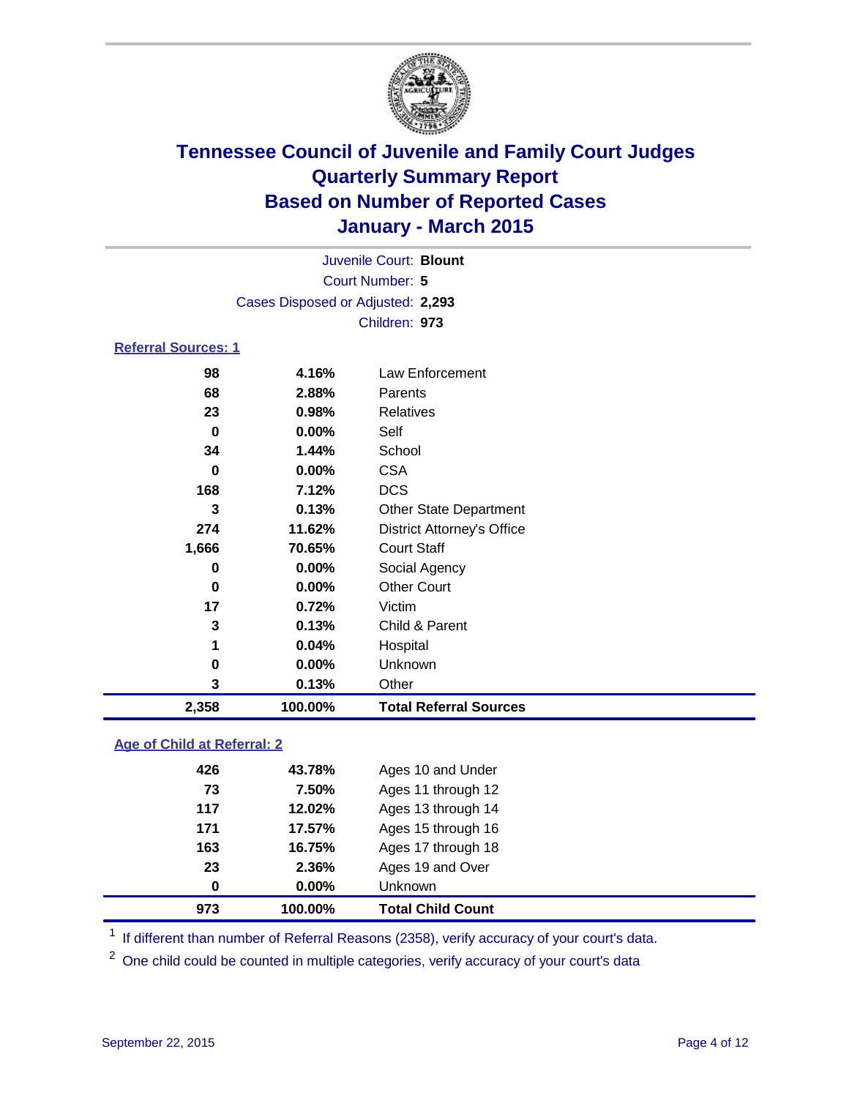

| 2,358                      | 100.00%                           | <b>Total Referral Sources</b>     |  |  |  |  |
|----------------------------|-----------------------------------|-----------------------------------|--|--|--|--|
| 3                          | 0.13%                             | Other                             |  |  |  |  |
| 0                          | 0.00%                             | Unknown                           |  |  |  |  |
| 1                          | 0.04%                             | Hospital                          |  |  |  |  |
| 3                          | 0.13%                             | Child & Parent                    |  |  |  |  |
| 17                         | 0.72%                             | Victim                            |  |  |  |  |
| $\bf{0}$                   | 0.00%                             | <b>Other Court</b>                |  |  |  |  |
| 0                          | 0.00%                             | Social Agency                     |  |  |  |  |
| 1,666                      | 70.65%                            | <b>Court Staff</b>                |  |  |  |  |
| 274                        | 11.62%                            | <b>District Attorney's Office</b> |  |  |  |  |
| 3                          | 0.13%                             | <b>Other State Department</b>     |  |  |  |  |
| 168                        | 7.12%                             | <b>DCS</b>                        |  |  |  |  |
| 0                          | 0.00%                             | <b>CSA</b>                        |  |  |  |  |
| 34                         | 1.44%                             | School                            |  |  |  |  |
| 0                          | 0.00%                             | Self                              |  |  |  |  |
| 23                         | 0.98%                             | <b>Relatives</b>                  |  |  |  |  |
| 68                         | 2.88%                             | Parents                           |  |  |  |  |
| 98                         | 4.16%                             | Law Enforcement                   |  |  |  |  |
| <b>Referral Sources: 1</b> |                                   |                                   |  |  |  |  |
|                            |                                   | Children: 973                     |  |  |  |  |
|                            | Cases Disposed or Adjusted: 2,293 |                                   |  |  |  |  |
| Court Number: 5            |                                   |                                   |  |  |  |  |
| Juvenile Court: Blount     |                                   |                                   |  |  |  |  |
|                            |                                   |                                   |  |  |  |  |

### **Age of Child at Referral: 2**

| 973 | 100.00% | <b>Total Child Count</b> |
|-----|---------|--------------------------|
| 0   | 0.00%   | Unknown                  |
| 23  | 2.36%   | Ages 19 and Over         |
| 163 | 16.75%  | Ages 17 through 18       |
| 171 | 17.57%  | Ages 15 through 16       |
| 117 | 12.02%  | Ages 13 through 14       |
| 73  | 7.50%   | Ages 11 through 12       |
| 426 | 43.78%  | Ages 10 and Under        |
|     |         |                          |

<sup>1</sup> If different than number of Referral Reasons (2358), verify accuracy of your court's data.

One child could be counted in multiple categories, verify accuracy of your court's data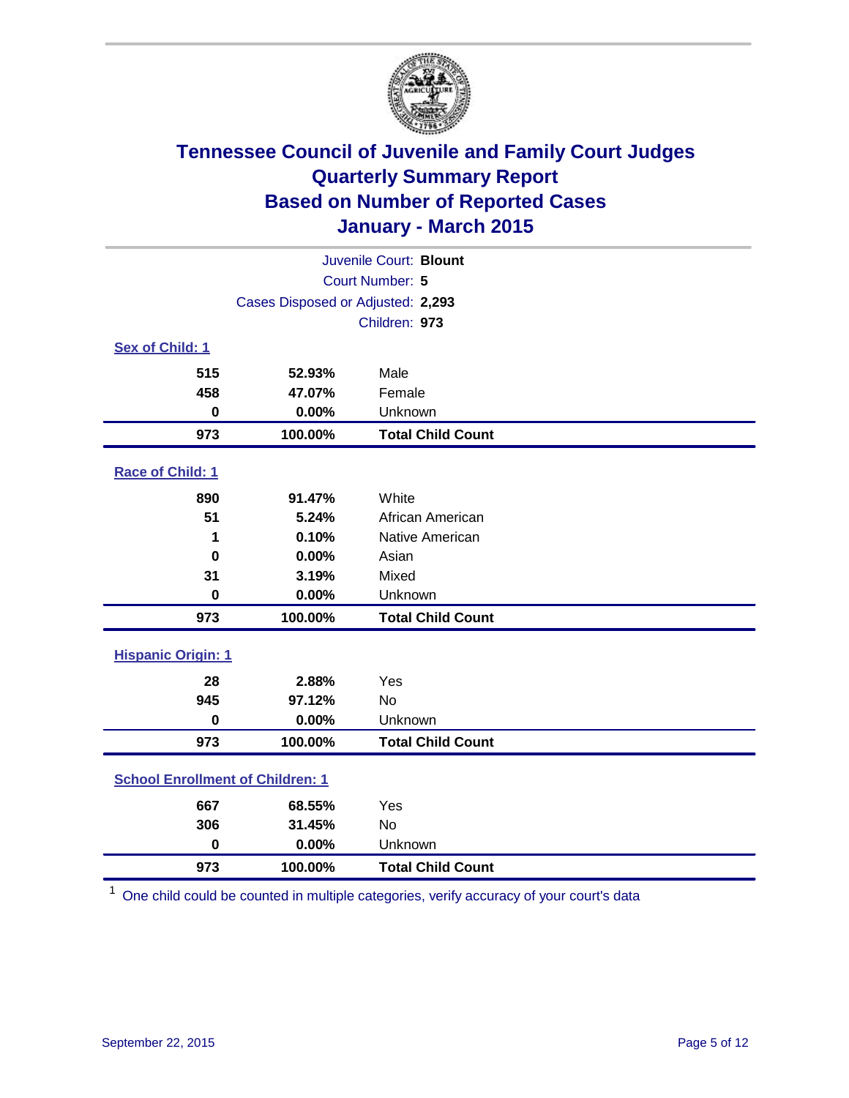

|                                         |                                   | Juvenile Court: Blount   |  |  |  |
|-----------------------------------------|-----------------------------------|--------------------------|--|--|--|
| Court Number: 5                         |                                   |                          |  |  |  |
|                                         | Cases Disposed or Adjusted: 2,293 |                          |  |  |  |
|                                         |                                   | Children: 973            |  |  |  |
| Sex of Child: 1                         |                                   |                          |  |  |  |
| 515                                     | 52.93%                            | Male                     |  |  |  |
| 458                                     | 47.07%                            | Female                   |  |  |  |
| 0                                       | 0.00%                             | Unknown                  |  |  |  |
| 973                                     | 100.00%                           | <b>Total Child Count</b> |  |  |  |
| Race of Child: 1                        |                                   |                          |  |  |  |
| 890                                     | 91.47%                            | White                    |  |  |  |
| 51                                      | 5.24%                             | African American         |  |  |  |
| 1                                       | 0.10%                             | Native American          |  |  |  |
| $\bf{0}$                                | 0.00%                             | Asian                    |  |  |  |
| 31                                      | 3.19%                             | Mixed                    |  |  |  |
| $\bf{0}$                                | 0.00%                             | Unknown                  |  |  |  |
| 973                                     | 100.00%                           | <b>Total Child Count</b> |  |  |  |
| <b>Hispanic Origin: 1</b>               |                                   |                          |  |  |  |
| 28                                      | 2.88%                             | Yes                      |  |  |  |
| 945                                     | 97.12%                            | <b>No</b>                |  |  |  |
| $\bf{0}$                                | 0.00%                             | Unknown                  |  |  |  |
| 973                                     | 100.00%                           | <b>Total Child Count</b> |  |  |  |
| <b>School Enrollment of Children: 1</b> |                                   |                          |  |  |  |
| 667                                     | 68.55%                            | Yes                      |  |  |  |
| 306                                     | 31.45%                            | No                       |  |  |  |
| $\mathbf 0$                             | 0.00%                             | Unknown                  |  |  |  |
| 973                                     | 100.00%                           | <b>Total Child Count</b> |  |  |  |

One child could be counted in multiple categories, verify accuracy of your court's data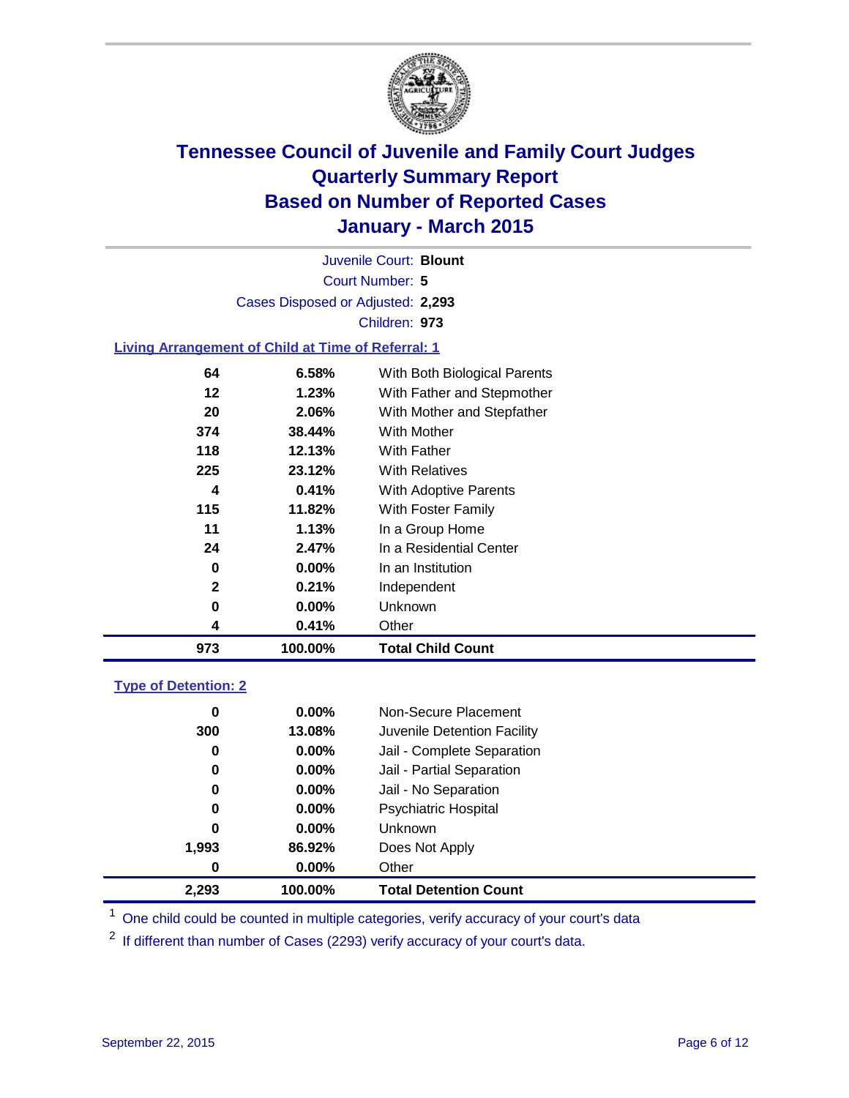

Court Number: **5** Juvenile Court: **Blount** Cases Disposed or Adjusted: **2,293** Children: **973**

### **Living Arrangement of Child at Time of Referral: 1**

| 973 | 100.00% | <b>Total Child Count</b>     |
|-----|---------|------------------------------|
| 4   | 0.41%   | Other                        |
| 0   | 0.00%   | Unknown                      |
| 2   | 0.21%   | Independent                  |
| 0   | 0.00%   | In an Institution            |
| 24  | 2.47%   | In a Residential Center      |
| 11  | 1.13%   | In a Group Home              |
| 115 | 11.82%  | With Foster Family           |
| 4   | 0.41%   | With Adoptive Parents        |
| 225 | 23.12%  | <b>With Relatives</b>        |
| 118 | 12.13%  | With Father                  |
| 374 | 38.44%  | With Mother                  |
| 20  | 2.06%   | With Mother and Stepfather   |
| 12  | 1.23%   | With Father and Stepmother   |
| 64  | 6.58%   | With Both Biological Parents |
|     |         |                              |

### **Type of Detention: 2**

| 0     | $0.00\%$ | Other                       |  |
|-------|----------|-----------------------------|--|
| 1,993 | 86.92%   | Does Not Apply              |  |
| 0     | $0.00\%$ | <b>Unknown</b>              |  |
| 0     | $0.00\%$ | <b>Psychiatric Hospital</b> |  |
| 0     | $0.00\%$ | Jail - No Separation        |  |
| 0     | 0.00%    | Jail - Partial Separation   |  |
| 0     | $0.00\%$ | Jail - Complete Separation  |  |
| 300   | 13.08%   | Juvenile Detention Facility |  |
| 0     | $0.00\%$ | Non-Secure Placement        |  |
|       |          |                             |  |

<sup>1</sup> One child could be counted in multiple categories, verify accuracy of your court's data

If different than number of Cases (2293) verify accuracy of your court's data.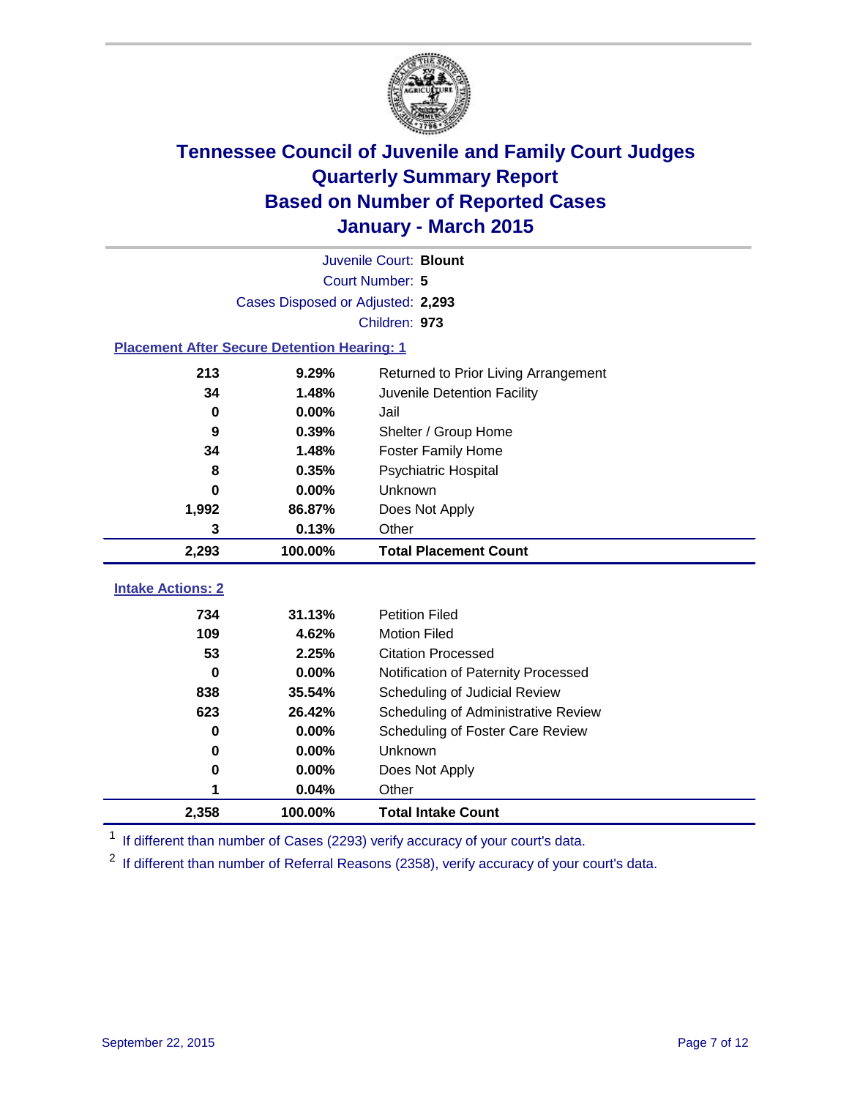

|                          | Juvenile Court: Blount                             |                                      |  |  |  |
|--------------------------|----------------------------------------------------|--------------------------------------|--|--|--|
|                          | <b>Court Number: 5</b>                             |                                      |  |  |  |
|                          | Cases Disposed or Adjusted: 2,293                  |                                      |  |  |  |
|                          |                                                    | Children: 973                        |  |  |  |
|                          | <b>Placement After Secure Detention Hearing: 1</b> |                                      |  |  |  |
| 213                      | 9.29%                                              | Returned to Prior Living Arrangement |  |  |  |
| 34                       | 1.48%                                              | Juvenile Detention Facility          |  |  |  |
| $\bf{0}$                 | 0.00%                                              | Jail                                 |  |  |  |
| 9                        | 0.39%                                              | Shelter / Group Home                 |  |  |  |
| 34                       | 1.48%                                              | <b>Foster Family Home</b>            |  |  |  |
| 8                        | 0.35%                                              | <b>Psychiatric Hospital</b>          |  |  |  |
| 0                        | 0.00%                                              | Unknown                              |  |  |  |
| 1,992                    | 86.87%                                             | Does Not Apply                       |  |  |  |
| 3                        | 0.13%                                              | Other                                |  |  |  |
| 2,293                    | 100.00%                                            | <b>Total Placement Count</b>         |  |  |  |
| <b>Intake Actions: 2</b> |                                                    |                                      |  |  |  |
| 734                      | 31.13%                                             | <b>Petition Filed</b>                |  |  |  |
| 109                      | 4.62%                                              | <b>Motion Filed</b>                  |  |  |  |
| 53                       | 2.25%                                              | <b>Citation Processed</b>            |  |  |  |
| 0                        | 0.00%                                              | Notification of Paternity Processed  |  |  |  |
| 838                      | 35.54%                                             | Scheduling of Judicial Review        |  |  |  |
| 623                      | 26.42%                                             | Scheduling of Administrative Review  |  |  |  |
| $\bf{0}$                 | 0.00%                                              | Scheduling of Foster Care Review     |  |  |  |
| $\bf{0}$                 | 0.00%                                              | Unknown                              |  |  |  |
| 0                        | 0.00%                                              | Does Not Apply                       |  |  |  |
| 1                        | 0.04%                                              | Other                                |  |  |  |
|                          |                                                    |                                      |  |  |  |
| 2,358                    | 100.00%                                            | <b>Total Intake Count</b>            |  |  |  |

<sup>1</sup> If different than number of Cases (2293) verify accuracy of your court's data.

 $2$  If different than number of Referral Reasons (2358), verify accuracy of your court's data.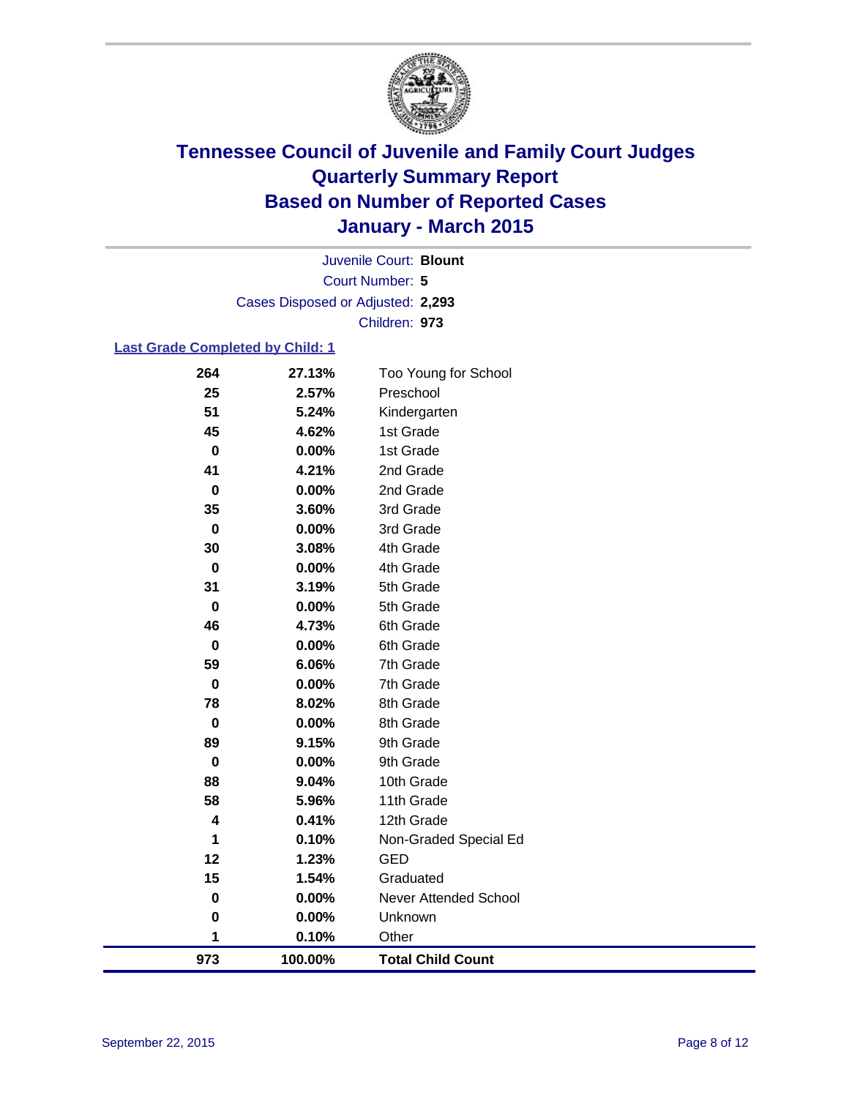

Court Number: **5** Juvenile Court: **Blount** Cases Disposed or Adjusted: **2,293** Children: **973**

### **Last Grade Completed by Child: 1**

| 264         | 27.13%  | Too Young for School     |
|-------------|---------|--------------------------|
| 25          | 2.57%   | Preschool                |
| 51          | 5.24%   | Kindergarten             |
| 45          | 4.62%   | 1st Grade                |
| $\bf{0}$    | 0.00%   | 1st Grade                |
| 41          | 4.21%   | 2nd Grade                |
| $\pmb{0}$   | 0.00%   | 2nd Grade                |
| 35          | 3.60%   | 3rd Grade                |
| $\pmb{0}$   | 0.00%   | 3rd Grade                |
| 30          | 3.08%   | 4th Grade                |
| 0           | 0.00%   | 4th Grade                |
| 31          | 3.19%   | 5th Grade                |
| $\mathbf 0$ | 0.00%   | 5th Grade                |
| 46          | 4.73%   | 6th Grade                |
| $\bf{0}$    | 0.00%   | 6th Grade                |
| 59          | 6.06%   | 7th Grade                |
| $\pmb{0}$   | 0.00%   | 7th Grade                |
| 78          | 8.02%   | 8th Grade                |
| $\bf{0}$    | 0.00%   | 8th Grade                |
| 89          | 9.15%   | 9th Grade                |
| $\bf{0}$    | 0.00%   | 9th Grade                |
| 88          | 9.04%   | 10th Grade               |
| 58          | 5.96%   | 11th Grade               |
| 4           | 0.41%   | 12th Grade               |
| 1           | 0.10%   | Non-Graded Special Ed    |
| 12          | 1.23%   | <b>GED</b>               |
| 15          | 1.54%   | Graduated                |
| $\bf{0}$    | 0.00%   | Never Attended School    |
| $\bf{0}$    | 0.00%   | Unknown                  |
| 1           | 0.10%   | Other                    |
| 973         | 100.00% | <b>Total Child Count</b> |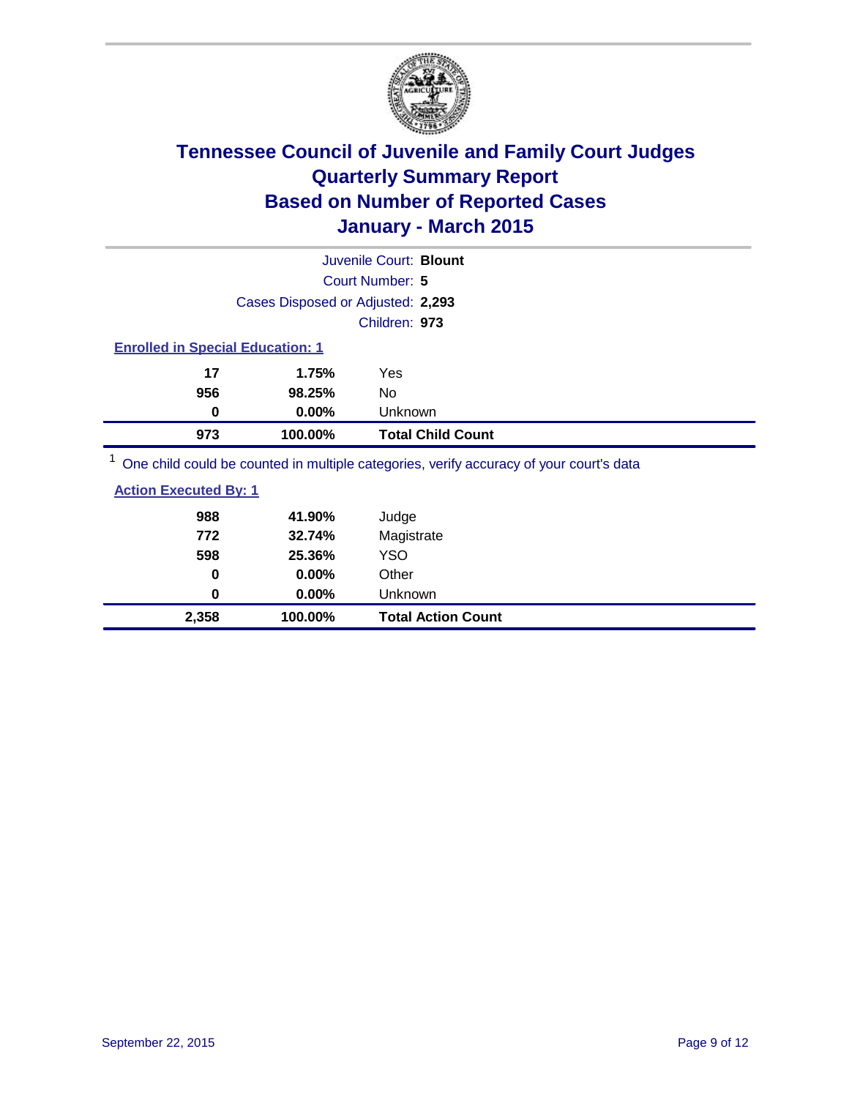

| Juvenile Court: Blount                                                                  |                                         |                          |  |  |  |  |
|-----------------------------------------------------------------------------------------|-----------------------------------------|--------------------------|--|--|--|--|
|                                                                                         | Court Number: 5                         |                          |  |  |  |  |
|                                                                                         | Cases Disposed or Adjusted: 2,293       |                          |  |  |  |  |
|                                                                                         |                                         | Children: 973            |  |  |  |  |
|                                                                                         | <b>Enrolled in Special Education: 1</b> |                          |  |  |  |  |
| 17                                                                                      | 1.75%                                   | Yes                      |  |  |  |  |
| 956                                                                                     | 98.25%                                  | No.                      |  |  |  |  |
| 0                                                                                       | $0.00\%$                                | Unknown                  |  |  |  |  |
| 973                                                                                     | 100.00%                                 | <b>Total Child Count</b> |  |  |  |  |
| One child could be counted in multiple categories, verify accuracy of your court's data |                                         |                          |  |  |  |  |

| <b>Action Executed By: 1</b> |  |  |
|------------------------------|--|--|
|                              |  |  |

| 2,358 | 100.00%  | <b>Total Action Count</b> |
|-------|----------|---------------------------|
| 0     | $0.00\%$ | Unknown                   |
| 0     | $0.00\%$ | Other                     |
| 598   | 25.36%   | <b>YSO</b>                |
| 772   | 32.74%   | Magistrate                |
| 988   | 41.90%   | Judge                     |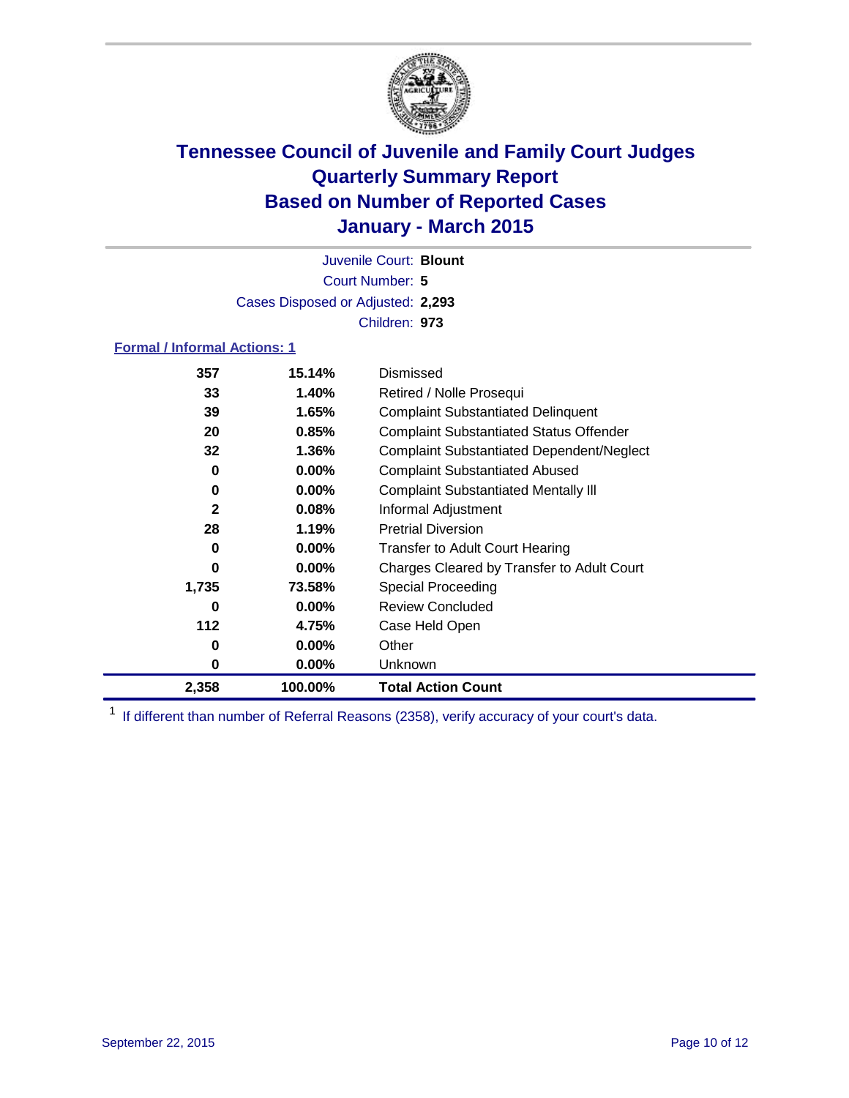

Court Number: **5** Juvenile Court: **Blount** Cases Disposed or Adjusted: **2,293** Children: **973**

### **Formal / Informal Actions: 1**

| 357          | 15.14%   | Dismissed                                        |
|--------------|----------|--------------------------------------------------|
| 33           | 1.40%    | Retired / Nolle Prosequi                         |
| 39           | 1.65%    | <b>Complaint Substantiated Delinquent</b>        |
| 20           | 0.85%    | <b>Complaint Substantiated Status Offender</b>   |
| 32           | 1.36%    | <b>Complaint Substantiated Dependent/Neglect</b> |
| 0            | $0.00\%$ | <b>Complaint Substantiated Abused</b>            |
| 0            | $0.00\%$ | <b>Complaint Substantiated Mentally III</b>      |
| $\mathbf{2}$ | 0.08%    | Informal Adjustment                              |
| 28           | 1.19%    | <b>Pretrial Diversion</b>                        |
| 0            | $0.00\%$ | <b>Transfer to Adult Court Hearing</b>           |
| 0            | $0.00\%$ | Charges Cleared by Transfer to Adult Court       |
| 1,735        | 73.58%   | <b>Special Proceeding</b>                        |
| 0            | $0.00\%$ | <b>Review Concluded</b>                          |
| 112          | 4.75%    | Case Held Open                                   |
| 0            | $0.00\%$ | Other                                            |
| 0            | $0.00\%$ | Unknown                                          |
| 2,358        | 100.00%  | <b>Total Action Count</b>                        |

<sup>1</sup> If different than number of Referral Reasons (2358), verify accuracy of your court's data.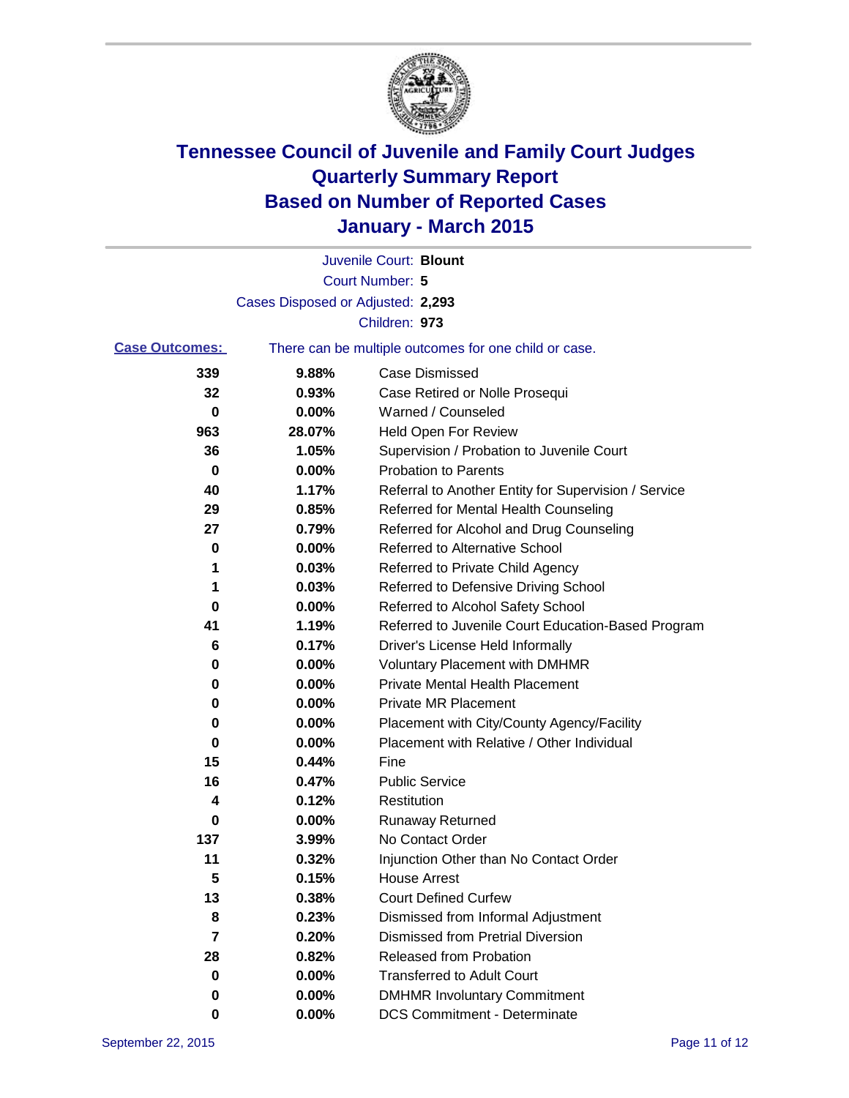

|                       |                                   | Juvenile Court: Blount                                |
|-----------------------|-----------------------------------|-------------------------------------------------------|
|                       |                                   | Court Number: 5                                       |
|                       | Cases Disposed or Adjusted: 2,293 |                                                       |
|                       |                                   | Children: 973                                         |
| <b>Case Outcomes:</b> |                                   | There can be multiple outcomes for one child or case. |
| 339                   | 9.88%                             | <b>Case Dismissed</b>                                 |
| 32                    | 0.93%                             | Case Retired or Nolle Prosequi                        |
| 0                     | 0.00%                             | Warned / Counseled                                    |
| 963                   | 28.07%                            | <b>Held Open For Review</b>                           |
| 36                    | 1.05%                             | Supervision / Probation to Juvenile Court             |
| 0                     | 0.00%                             | <b>Probation to Parents</b>                           |
| 40                    | 1.17%                             | Referral to Another Entity for Supervision / Service  |
| 29                    | 0.85%                             | Referred for Mental Health Counseling                 |
| 27                    | 0.79%                             | Referred for Alcohol and Drug Counseling              |
| 0                     | 0.00%                             | <b>Referred to Alternative School</b>                 |
| 1                     | 0.03%                             | Referred to Private Child Agency                      |
| 1                     | 0.03%                             | Referred to Defensive Driving School                  |
| 0                     | 0.00%                             | Referred to Alcohol Safety School                     |
| 41                    | 1.19%                             | Referred to Juvenile Court Education-Based Program    |
| 6                     | 0.17%                             | Driver's License Held Informally                      |
| 0                     | 0.00%                             | <b>Voluntary Placement with DMHMR</b>                 |
| 0                     | 0.00%                             | <b>Private Mental Health Placement</b>                |
| 0                     | 0.00%                             | <b>Private MR Placement</b>                           |
| 0                     | 0.00%                             | Placement with City/County Agency/Facility            |
| 0                     | 0.00%                             | Placement with Relative / Other Individual            |
| 15                    | 0.44%                             | Fine                                                  |
| 16                    | 0.47%                             | <b>Public Service</b>                                 |
| 4                     | 0.12%                             | Restitution                                           |
| 0                     | 0.00%                             | <b>Runaway Returned</b>                               |
| 137                   | 3.99%                             | No Contact Order                                      |
| 11                    | 0.32%                             | Injunction Other than No Contact Order                |
| 5                     | 0.15%                             | House Arrest                                          |
| 13                    | 0.38%                             | <b>Court Defined Curfew</b>                           |
| 8                     | 0.23%                             | Dismissed from Informal Adjustment                    |
| 7                     | 0.20%                             | <b>Dismissed from Pretrial Diversion</b>              |
| 28                    | 0.82%                             | Released from Probation                               |
| 0                     | 0.00%                             | <b>Transferred to Adult Court</b>                     |
| 0                     | 0.00%                             | <b>DMHMR Involuntary Commitment</b>                   |
| 0                     | 0.00%                             | <b>DCS Commitment - Determinate</b>                   |